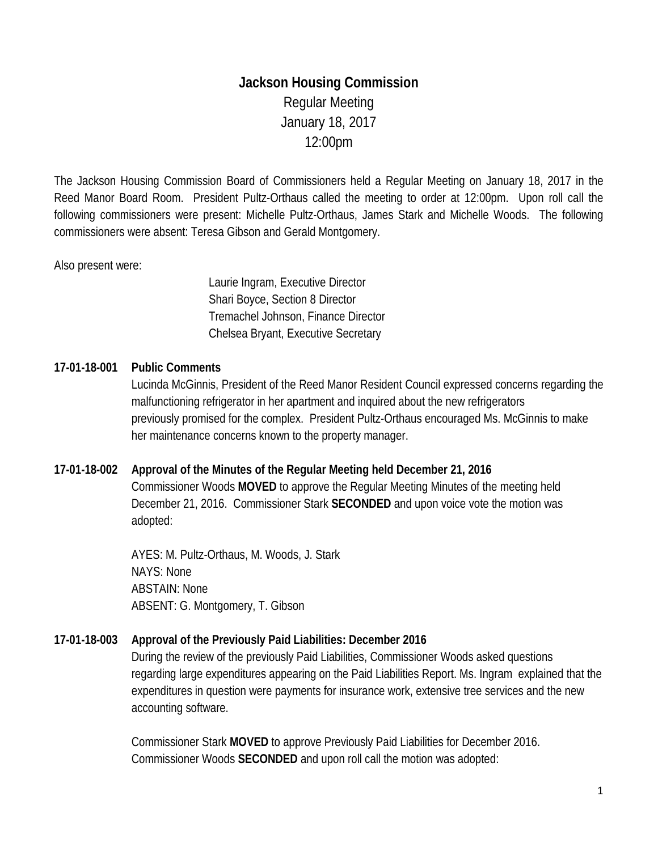# **Jackson Housing Commission** Regular Meeting January 18, 2017 12:00pm

The Jackson Housing Commission Board of Commissioners held a Regular Meeting on January 18, 2017 in the Reed Manor Board Room. President Pultz-Orthaus called the meeting to order at 12:00pm. Upon roll call the following commissioners were present: Michelle Pultz-Orthaus, James Stark and Michelle Woods. The following commissioners were absent: Teresa Gibson and Gerald Montgomery.

## Also present were:

Laurie Ingram, Executive Director Shari Boyce, Section 8 Director Tremachel Johnson, Finance Director Chelsea Bryant, Executive Secretary

# **17-01-18-001 Public Comments**

Lucinda McGinnis, President of the Reed Manor Resident Council expressed concerns regarding the malfunctioning refrigerator in her apartment and inquired about the new refrigerators previously promised for the complex. President Pultz-Orthaus encouraged Ms. McGinnis to make her maintenance concerns known to the property manager.

## **17-01-18-002 Approval of the Minutes of the Regular Meeting held December 21, 2016**

Commissioner Woods **MOVED** to approve the Regular Meeting Minutes of the meeting held December 21, 2016. Commissioner Stark **SECONDED** and upon voice vote the motion was adopted:

AYES: M. Pultz-Orthaus, M. Woods, J. Stark NAYS: None ABSTAIN: None ABSENT: G. Montgomery, T. Gibson

# **17-01-18-003 Approval of the Previously Paid Liabilities: December 2016**

During the review of the previously Paid Liabilities, Commissioner Woods asked questions regarding large expenditures appearing on the Paid Liabilities Report. Ms. Ingram explained that the expenditures in question were payments for insurance work, extensive tree services and the new accounting software.

Commissioner Stark **MOVED** to approve Previously Paid Liabilities for December 2016. Commissioner Woods **SECONDED** and upon roll call the motion was adopted: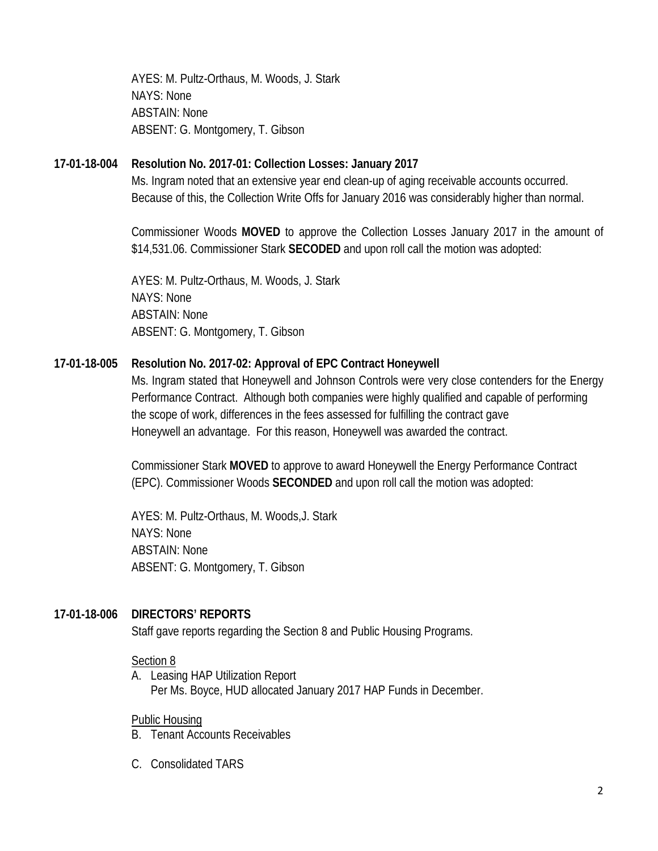AYES: M. Pultz-Orthaus, M. Woods, J. Stark NAYS: None ABSTAIN: None ABSENT: G. Montgomery, T. Gibson

## **17-01-18-004 Resolution No. 2017-01: Collection Losses: January 2017**

Ms. Ingram noted that an extensive year end clean-up of aging receivable accounts occurred. Because of this, the Collection Write Offs for January 2016 was considerably higher than normal.

Commissioner Woods **MOVED** to approve the Collection Losses January 2017 in the amount of \$14,531.06. Commissioner Stark **SECODED** and upon roll call the motion was adopted:

AYES: M. Pultz-Orthaus, M. Woods, J. Stark NAYS: None ABSTAIN: None ABSENT: G. Montgomery, T. Gibson

# **17-01-18-005 Resolution No. 2017-02: Approval of EPC Contract Honeywell**

Ms. Ingram stated that Honeywell and Johnson Controls were very close contenders for the Energy Performance Contract. Although both companies were highly qualified and capable of performing the scope of work, differences in the fees assessed for fulfilling the contract gave Honeywell an advantage. For this reason, Honeywell was awarded the contract.

Commissioner Stark **MOVED** to approve to award Honeywell the Energy Performance Contract (EPC). Commissioner Woods **SECONDED** and upon roll call the motion was adopted:

AYES: M. Pultz-Orthaus, M. Woods,J. Stark NAYS: None ABSTAIN: None ABSENT: G. Montgomery, T. Gibson

## **17-01-18-006 DIRECTORS' REPORTS**

Staff gave reports regarding the Section 8 and Public Housing Programs.

## Section 8

A. Leasing HAP Utilization Report Per Ms. Boyce, HUD allocated January 2017 HAP Funds in December.

## Public Housing

- B. Tenant Accounts Receivables
- C. Consolidated TARS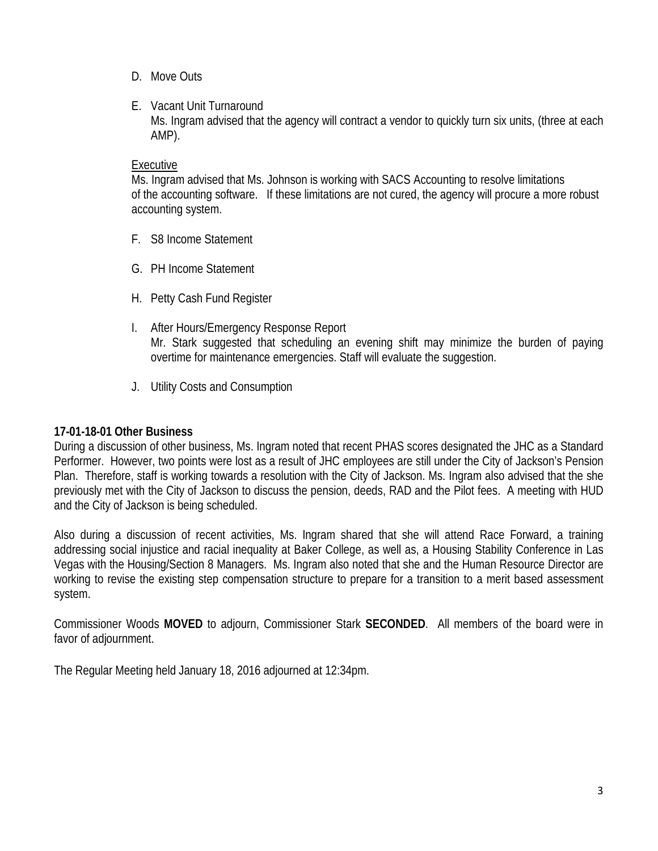- D. Move Outs
- E. Vacant Unit Turnaround Ms. Ingram advised that the agency will contract a vendor to quickly turn six units, (three at each AMP).

#### Executive

Ms. Ingram advised that Ms. Johnson is working with SACS Accounting to resolve limitations of the accounting software. If these limitations are not cured, the agency will procure a more robust accounting system.

- F. S8 Income Statement
- G. PH Income Statement
- H. Petty Cash Fund Register
- I. After Hours/Emergency Response Report Mr. Stark suggested that scheduling an evening shift may minimize the burden of paying overtime for maintenance emergencies. Staff will evaluate the suggestion.
- J. Utility Costs and Consumption

#### **17-01-18-01 Other Business**

During a discussion of other business, Ms. Ingram noted that recent PHAS scores designated the JHC as a Standard Performer. However, two points were lost as a result of JHC employees are still under the City of Jackson's Pension Plan. Therefore, staff is working towards a resolution with the City of Jackson. Ms. Ingram also advised that the she previously met with the City of Jackson to discuss the pension, deeds, RAD and the Pilot fees. A meeting with HUD and the City of Jackson is being scheduled.

Also during a discussion of recent activities, Ms. Ingram shared that she will attend Race Forward, a training addressing social injustice and racial inequality at Baker College, as well as, a Housing Stability Conference in Las Vegas with the Housing/Section 8 Managers. Ms. Ingram also noted that she and the Human Resource Director are working to revise the existing step compensation structure to prepare for a transition to a merit based assessment system.

Commissioner Woods **MOVED** to adjourn, Commissioner Stark **SECONDED**. All members of the board were in favor of adjournment.

The Regular Meeting held January 18, 2016 adjourned at 12:34pm.